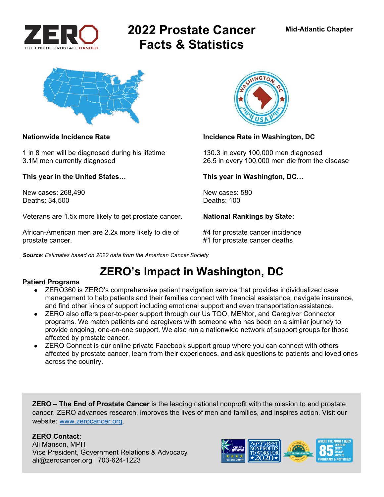

# **2022 Prostate Cancer Facts & Statistics**



1 in 8 men will be diagnosed during his lifetime 130.3 in every 100,000 men diagnosed

**This year in the United States… This year in Washington, DC…** 

New cases: 268.490 New cases: 580 Deaths: 34,500 Deaths: 100

Veterans are 1.5x more likely to get prostate cancer. **National Rankings by State:** 

African-American men are 2.2x more likely to die of  $#4$  for prostate cancer incidence prostate cancer. #1 for prostate cancer deaths



### **Nationwide Incidence Rate Incidence Rate in Washington, DC**

3.1M men currently diagnosed 26.5 in every 100,000 men die from the disease

*Source: Estimates based on 2022 data from the American Cancer Society* 

## **ZERO's Impact in Washington, DC**

### **Patient Programs**

- ZERO360 is ZERO's comprehensive patient navigation service that provides individualized case management to help patients and their families connect with financial assistance, navigate insurance, and find other kinds of support including emotional support and even transportation assistance.
- ZERO also offers peer-to-peer support through our Us TOO, MENtor, and Caregiver Connector programs. We match patients and caregivers with someone who has been on a similar journey to provide ongoing, one-on-one support. We also run a nationwide network of support groups for those affected by prostate cancer.
- ZERO Connect is our online private Facebook support group where you can connect with others affected by prostate cancer, learn from their experiences, and ask questions to patients and loved ones across the country.

**ZERO – The End of Prostate Cancer** is the leading national nonprofit with the mission to end prostate cancer. ZERO advances research, improves the lives of men and families, and inspires action. Visit our website: www.zerocancer.org.

### **ZERO Contact:**

Ali Manson, MPH Vice President, Government Relations & Advocacy ali@zerocancer.org | 703-624-1223